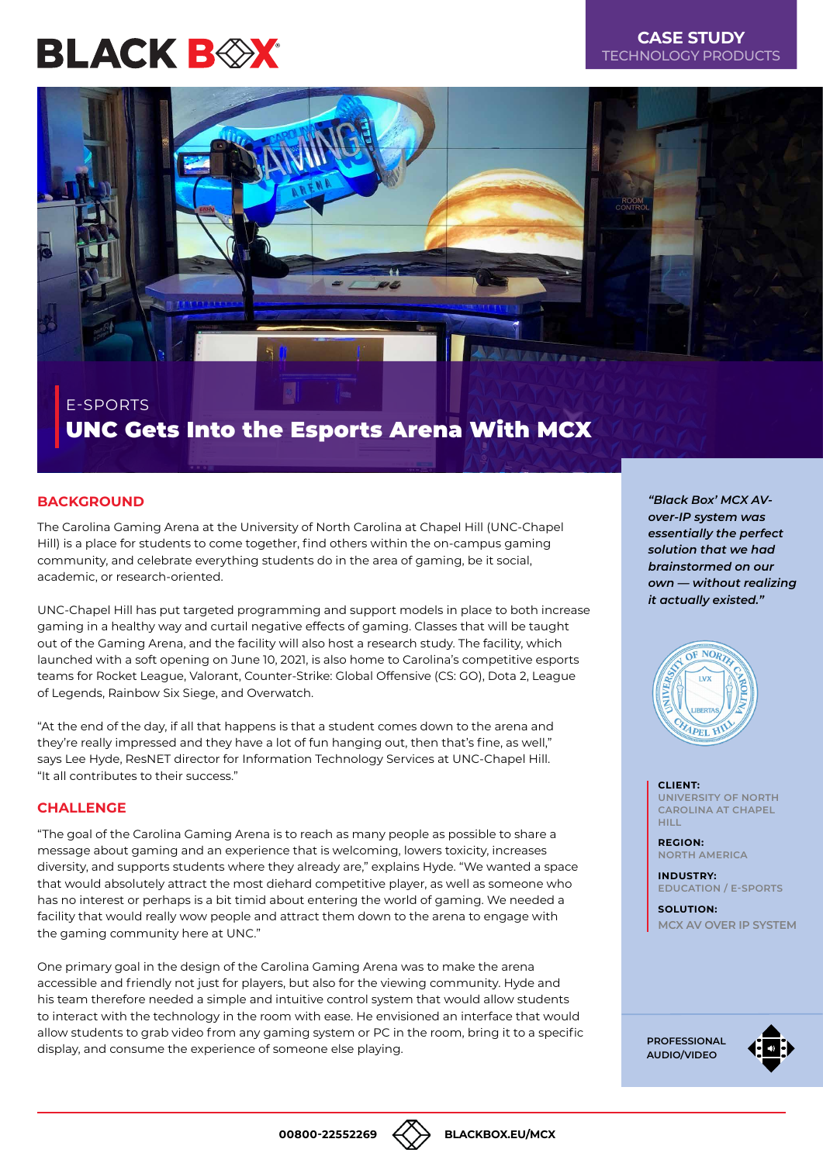# **BLACK BOX**

# **CASE STUDY** TECHNOLOGY PRODUCTS



# UNC Gets Into the Esports Arena With MCX E-SPORTS

### **BACKGROUND**

The Carolina Gaming Arena at the University of North Carolina at Chapel Hill (UNC-Chapel Hill) is a place for students to come together, find others within the on-campus gaming community, and celebrate everything students do in the area of gaming, be it social, academic, or research-oriented.

UNC-Chapel Hill has put targeted programming and support models in place to both increase gaming in a healthy way and curtail negative effects of gaming. Classes that will be taught out of the Gaming Arena, and the facility will also host a research study. The facility, which launched with a soft opening on June 10, 2021, is also home to Carolina's competitive esports teams for Rocket League, Valorant, Counter-Strike: Global Offensive (CS: GO), Dota 2, League of Legends, Rainbow Six Siege, and Overwatch.

"At the end of the day, if all that happens is that a student comes down to the arena and they're really impressed and they have a lot of fun hanging out, then that's fine, as well," says Lee Hyde, ResNET director for Information Technology Services at UNC-Chapel Hill. "It all contributes to their success."

#### **CHALLENGE**

"The goal of the Carolina Gaming Arena is to reach as many people as possible to share a message about gaming and an experience that is welcoming, lowers toxicity, increases diversity, and supports students where they already are," explains Hyde. "We wanted a space that would absolutely attract the most diehard competitive player, as well as someone who has no interest or perhaps is a bit timid about entering the world of gaming. We needed a facility that would really wow people and attract them down to the arena to engage with the gaming community here at UNC."

One primary goal in the design of the Carolina Gaming Arena was to make the arena accessible and friendly not just for players, but also for the viewing community. Hyde and his team therefore needed a simple and intuitive control system that would allow students to interact with the technology in the room with ease. He envisioned an interface that would allow students to grab video from any gaming system or PC in the room, bring it to a specific display, and consume the experience of someone else playing.

*"Black Box' MCX AVover-IP system was essentially the perfect solution that we had brainstormed on our own — without realizing it actually existed."*



**CLIENT: UNIVERSITY OF NORTH CAROLINA AT CHAPEL HILL**

**REGION: NORTH AMERICA**

**INDUSTRY EDUCATION / E-SPORTS**

**SOLUTION: [MCX AV OVER IP SYSTEM](http://bboxservices.com)**

**[PROFESSIONAL](https://www.blackbox.com/goto/emerald)  AUDIO/VIDEO**



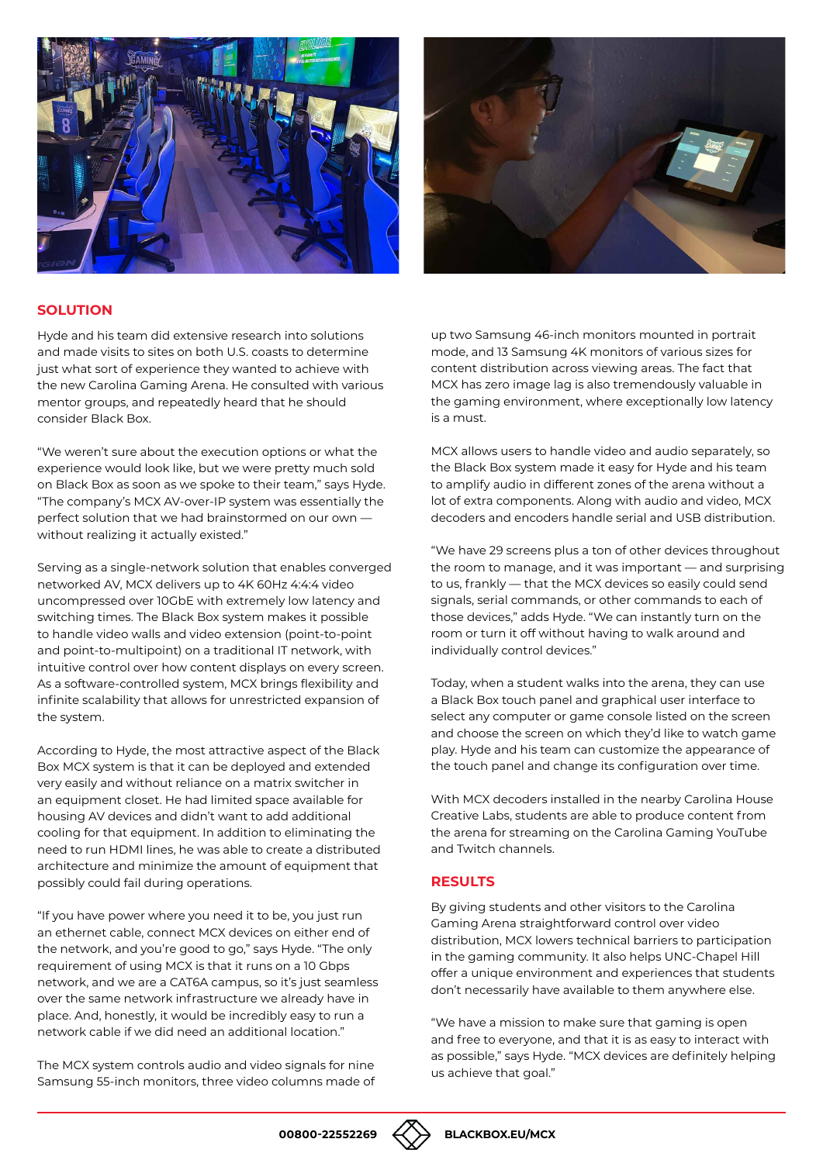



#### **SOLUTION**

Hyde and his team did extensive research into solutions and made visits to sites on both U.S. coasts to determine just what sort of experience they wanted to achieve with the new Carolina Gaming Arena. He consulted with various mentor groups, and repeatedly heard that he should consider Black Box.

"We weren't sure about the execution options or what the experience would look like, but we were pretty much sold on Black Box as soon as we spoke to their team," says Hyde. "The company's MCX AV-over-IP system was essentially the perfect solution that we had brainstormed on our own without realizing it actually existed."

Serving as a single-network solution that enables converged networked AV, MCX delivers up to 4K 60Hz 4:4:4 video uncompressed over 10GbE with extremely low latency and switching times. The Black Box system makes it possible to handle video walls and video extension (point-to-point and point-to-multipoint) on a traditional IT network, with intuitive control over how content displays on every screen. As a software-controlled system, MCX brings flexibility and infinite scalability that allows for unrestricted expansion of the system.

According to Hyde, the most attractive aspect of the Black Box MCX system is that it can be deployed and extended very easily and without reliance on a matrix switcher in an equipment closet. He had limited space available for housing AV devices and didn't want to add additional cooling for that equipment. In addition to eliminating the need to run HDMI lines, he was able to create a distributed architecture and minimize the amount of equipment that possibly could fail during operations.

"If you have power where you need it to be, you just run an ethernet cable, connect MCX devices on either end of the network, and you're good to go," says Hyde. "The only requirement of using MCX is that it runs on a 10 Gbps network, and we are a CAT6A campus, so it's just seamless over the same network infrastructure we already have in place. And, honestly, it would be incredibly easy to run a network cable if we did need an additional location."

The MCX system controls audio and video signals for nine Samsung 55-inch monitors, three video columns made of up two Samsung 46-inch monitors mounted in portrait mode, and 13 Samsung 4K monitors of various sizes for content distribution across viewing areas. The fact that MCX has zero image lag is also tremendously valuable in the gaming environment, where exceptionally low latency is a must.

MCX allows users to handle video and audio separately, so the Black Box system made it easy for Hyde and his team to amplify audio in different zones of the arena without a lot of extra components. Along with audio and video, MCX decoders and encoders handle serial and USB distribution.

"We have 29 screens plus a ton of other devices throughout the room to manage, and it was important — and surprising to us, frankly — that the MCX devices so easily could send signals, serial commands, or other commands to each of those devices," adds Hyde. "We can instantly turn on the room or turn it off without having to walk around and individually control devices."

Today, when a student walks into the arena, they can use a Black Box touch panel and graphical user interface to select any computer or game console listed on the screen and choose the screen on which they'd like to watch game play. Hyde and his team can customize the appearance of the touch panel and change its configuration over time.

With MCX decoders installed in the nearby Carolina House Creative Labs, students are able to produce content from the arena for streaming on the Carolina Gaming YouTube and Twitch channels.

#### **RESULTS**

By giving students and other visitors to the Carolina Gaming Arena straightforward control over video distribution, MCX lowers technical barriers to participation in the gaming community. It also helps UNC-Chapel Hill offer a unique environment and experiences that students don't necessarily have available to them anywhere else.

"We have a mission to make sure that gaming is open and free to everyone, and that it is as easy to interact with as possible," says Hyde. "MCX devices are definitely helping us achieve that goal."